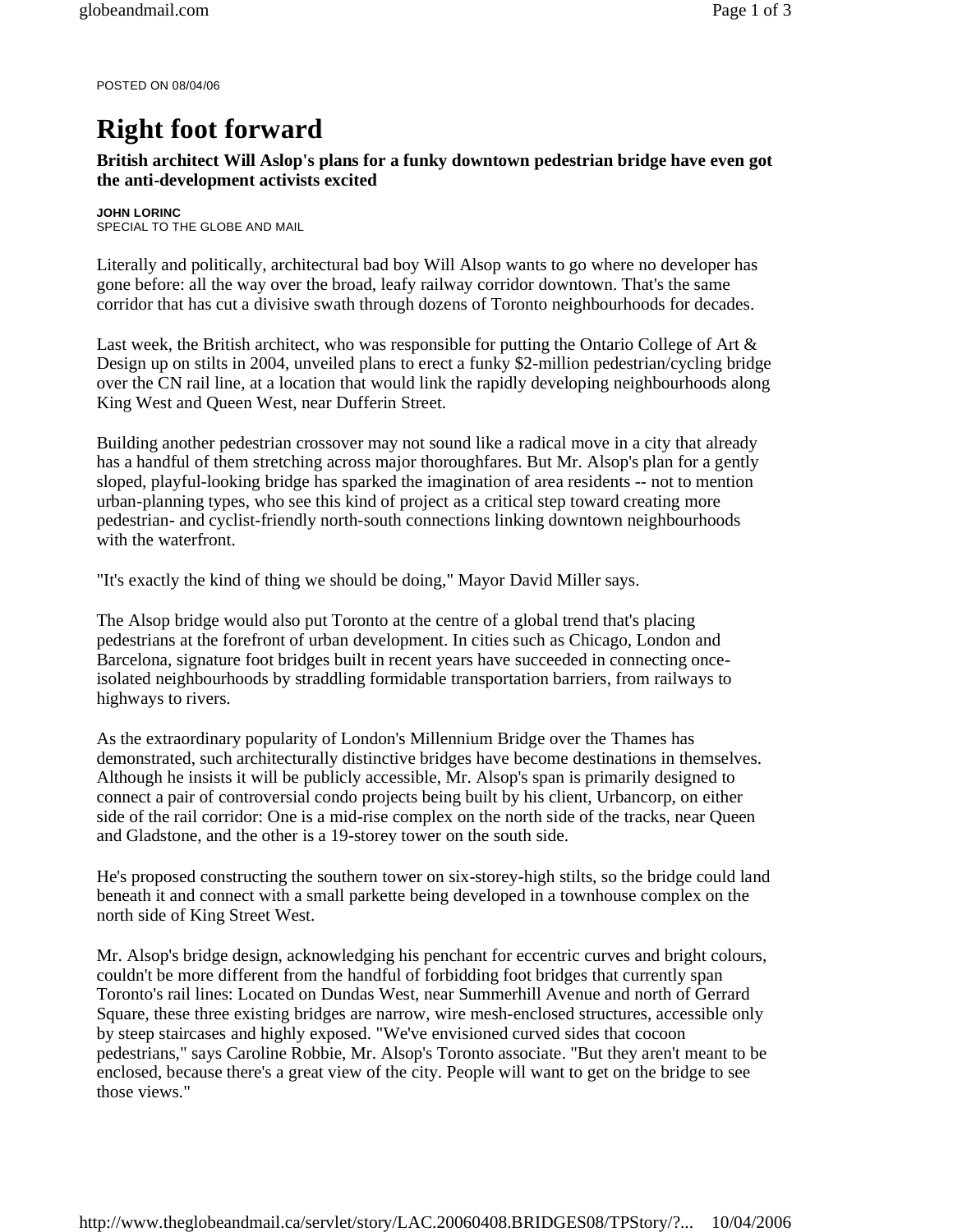POSTED ON 08/04/06

## **Right foot forward**

## **British architect Will Aslop's plans for a funky downtown pedestrian bridge have even got the anti-development activists excited**

**JOHN LORINC**  SPECIAL TO THE GLOBE AND MAIL

Literally and politically, architectural bad boy Will Alsop wants to go where no developer has gone before: all the way over the broad, leafy railway corridor downtown. That's the same corridor that has cut a divisive swath through dozens of Toronto neighbourhoods for decades.

Last week, the British architect, who was responsible for putting the Ontario College of Art & Design up on stilts in 2004, unveiled plans to erect a funky \$2-million pedestrian/cycling bridge over the CN rail line, at a location that would link the rapidly developing neighbourhoods along King West and Queen West, near Dufferin Street.

Building another pedestrian crossover may not sound like a radical move in a city that already has a handful of them stretching across major thoroughfares. But Mr. Alsop's plan for a gently sloped, playful-looking bridge has sparked the imagination of area residents -- not to mention urban-planning types, who see this kind of project as a critical step toward creating more pedestrian- and cyclist-friendly north-south connections linking downtown neighbourhoods with the waterfront.

"It's exactly the kind of thing we should be doing," Mayor David Miller says.

The Alsop bridge would also put Toronto at the centre of a global trend that's placing pedestrians at the forefront of urban development. In cities such as Chicago, London and Barcelona, signature foot bridges built in recent years have succeeded in connecting onceisolated neighbourhoods by straddling formidable transportation barriers, from railways to highways to rivers.

As the extraordinary popularity of London's Millennium Bridge over the Thames has demonstrated, such architecturally distinctive bridges have become destinations in themselves. Although he insists it will be publicly accessible, Mr. Alsop's span is primarily designed to connect a pair of controversial condo projects being built by his client, Urbancorp, on either side of the rail corridor: One is a mid-rise complex on the north side of the tracks, near Queen and Gladstone, and the other is a 19-storey tower on the south side.

He's proposed constructing the southern tower on six-storey-high stilts, so the bridge could land beneath it and connect with a small parkette being developed in a townhouse complex on the north side of King Street West.

Mr. Alsop's bridge design, acknowledging his penchant for eccentric curves and bright colours, couldn't be more different from the handful of forbidding foot bridges that currently span Toronto's rail lines: Located on Dundas West, near Summerhill Avenue and north of Gerrard Square, these three existing bridges are narrow, wire mesh-enclosed structures, accessible only by steep staircases and highly exposed. "We've envisioned curved sides that cocoon pedestrians," says Caroline Robbie, Mr. Alsop's Toronto associate. "But they aren't meant to be enclosed, because there's a great view of the city. People will want to get on the bridge to see those views."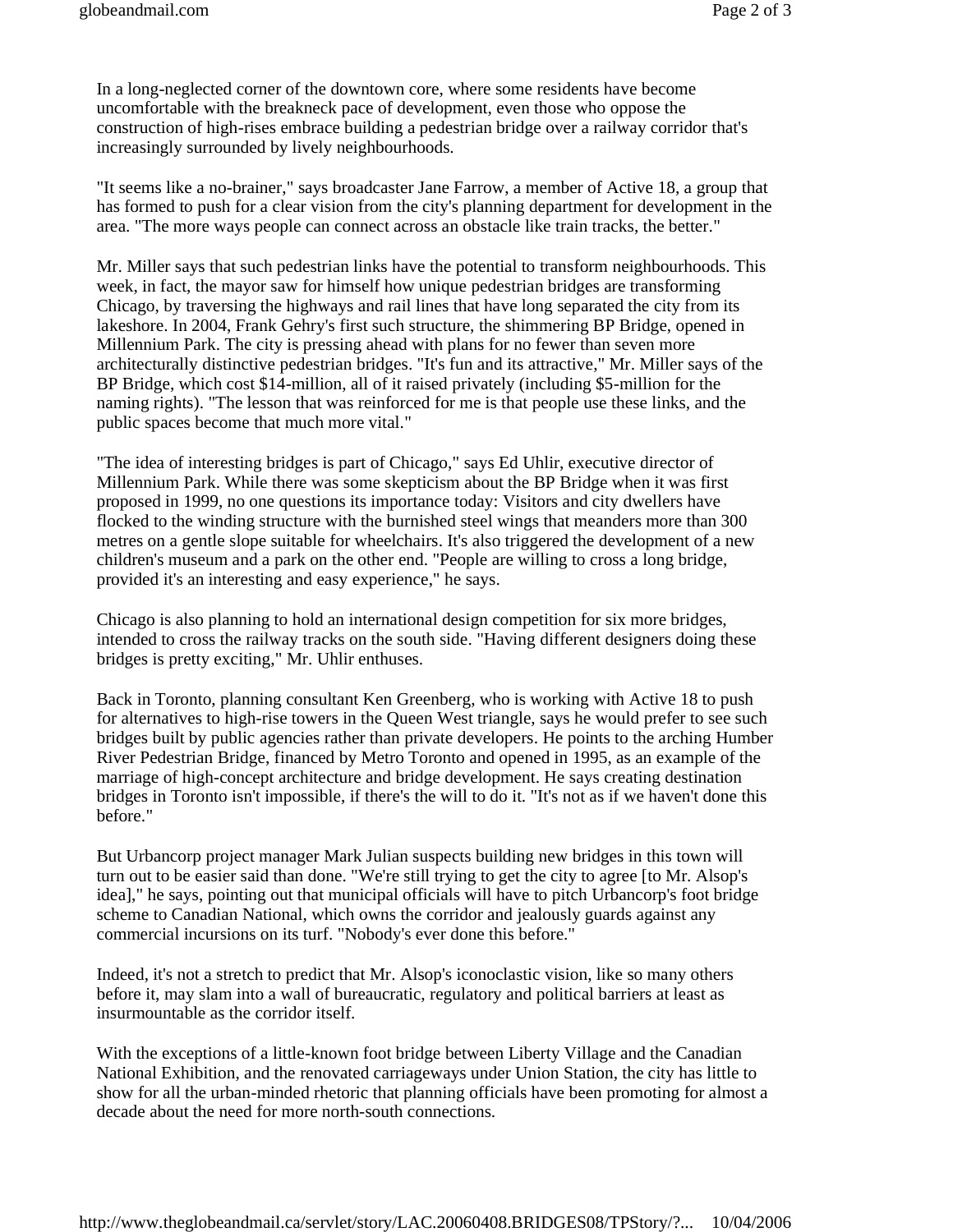In a long-neglected corner of the downtown core, where some residents have become uncomfortable with the breakneck pace of development, even those who oppose the construction of high-rises embrace building a pedestrian bridge over a railway corridor that's increasingly surrounded by lively neighbourhoods.

"It seems like a no-brainer," says broadcaster Jane Farrow, a member of Active 18, a group that has formed to push for a clear vision from the city's planning department for development in the area. "The more ways people can connect across an obstacle like train tracks, the better."

Mr. Miller says that such pedestrian links have the potential to transform neighbourhoods. This week, in fact, the mayor saw for himself how unique pedestrian bridges are transforming Chicago, by traversing the highways and rail lines that have long separated the city from its lakeshore. In 2004, Frank Gehry's first such structure, the shimmering BP Bridge, opened in Millennium Park. The city is pressing ahead with plans for no fewer than seven more architecturally distinctive pedestrian bridges. "It's fun and its attractive," Mr. Miller says of the BP Bridge, which cost \$14-million, all of it raised privately (including \$5-million for the naming rights). "The lesson that was reinforced for me is that people use these links, and the public spaces become that much more vital."

"The idea of interesting bridges is part of Chicago," says Ed Uhlir, executive director of Millennium Park. While there was some skepticism about the BP Bridge when it was first proposed in 1999, no one questions its importance today: Visitors and city dwellers have flocked to the winding structure with the burnished steel wings that meanders more than 300 metres on a gentle slope suitable for wheelchairs. It's also triggered the development of a new children's museum and a park on the other end. "People are willing to cross a long bridge, provided it's an interesting and easy experience," he says.

Chicago is also planning to hold an international design competition for six more bridges, intended to cross the railway tracks on the south side. "Having different designers doing these bridges is pretty exciting," Mr. Uhlir enthuses.

Back in Toronto, planning consultant Ken Greenberg, who is working with Active 18 to push for alternatives to high-rise towers in the Queen West triangle, says he would prefer to see such bridges built by public agencies rather than private developers. He points to the arching Humber River Pedestrian Bridge, financed by Metro Toronto and opened in 1995, as an example of the marriage of high-concept architecture and bridge development. He says creating destination bridges in Toronto isn't impossible, if there's the will to do it. "It's not as if we haven't done this before."

But Urbancorp project manager Mark Julian suspects building new bridges in this town will turn out to be easier said than done. "We're still trying to get the city to agree [to Mr. Alsop's idea]," he says, pointing out that municipal officials will have to pitch Urbancorp's foot bridge scheme to Canadian National, which owns the corridor and jealously guards against any commercial incursions on its turf. "Nobody's ever done this before."

Indeed, it's not a stretch to predict that Mr. Alsop's iconoclastic vision, like so many others before it, may slam into a wall of bureaucratic, regulatory and political barriers at least as insurmountable as the corridor itself.

With the exceptions of a little-known foot bridge between Liberty Village and the Canadian National Exhibition, and the renovated carriageways under Union Station, the city has little to show for all the urban-minded rhetoric that planning officials have been promoting for almost a decade about the need for more north-south connections.